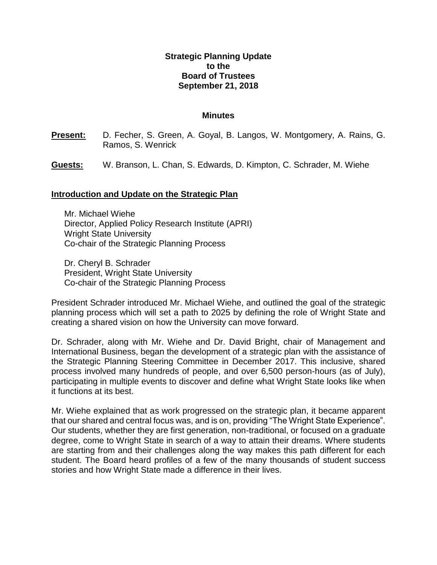## **Strategic Planning Update to the Board of Trustees September 21, 2018**

## **Minutes**

- **Present:** D. Fecher, S. Green, A. Goyal, B. Langos, W. Montgomery, A. Rains, G. Ramos, S. Wenrick
- **Guests:** W. Branson, L. Chan, S. Edwards, D. Kimpton, C. Schrader, M. Wiehe

## **Introduction and Update on the Strategic Plan**

Mr. Michael Wiehe Director, Applied Policy Research Institute (APRI) Wright State University Co-chair of the Strategic Planning Process

Dr. Cheryl B. Schrader President, Wright State University Co-chair of the Strategic Planning Process

President Schrader introduced Mr. Michael Wiehe, and outlined the goal of the strategic planning process which will set a path to 2025 by defining the role of Wright State and creating a shared vision on how the University can move forward.

Dr. Schrader, along with Mr. Wiehe and Dr. David Bright, chair of Management and International Business, began the development of a strategic plan with the assistance of the Strategic Planning Steering Committee in December 2017. This inclusive, shared process involved many hundreds of people, and over 6,500 person-hours (as of July), participating in multiple events to discover and define what Wright State looks like when it functions at its best.

Mr. Wiehe explained that as work progressed on the strategic plan, it became apparent that our shared and central focus was, and is on, providing "The Wright State Experience". Our students, whether they are first generation, non-traditional, or focused on a graduate degree, come to Wright State in search of a way to attain their dreams. Where students are starting from and their challenges along the way makes this path different for each student. The Board heard profiles of a few of the many thousands of student success stories and how Wright State made a difference in their lives.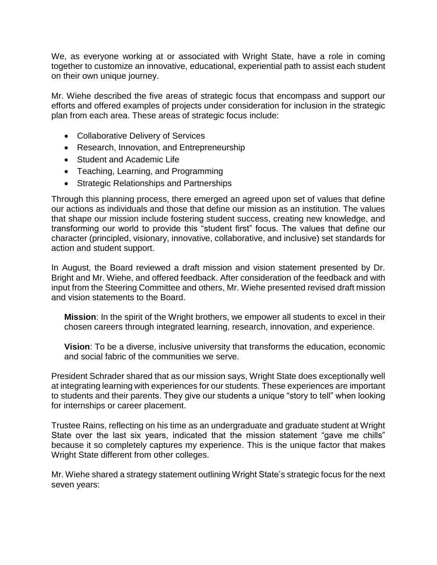We, as everyone working at or associated with Wright State, have a role in coming together to customize an innovative, educational, experiential path to assist each student on their own unique journey.

Mr. Wiehe described the five areas of strategic focus that encompass and support our efforts and offered examples of projects under consideration for inclusion in the strategic plan from each area. These areas of strategic focus include:

- Collaborative Delivery of Services
- Research, Innovation, and Entrepreneurship
- Student and Academic Life
- Teaching, Learning, and Programming
- Strategic Relationships and Partnerships

Through this planning process, there emerged an agreed upon set of values that define our actions as individuals and those that define our mission as an institution. The values that shape our mission include fostering student success, creating new knowledge, and transforming our world to provide this "student first" focus. The values that define our character (principled, visionary, innovative, collaborative, and inclusive) set standards for action and student support.

In August, the Board reviewed a draft mission and vision statement presented by Dr. Bright and Mr. Wiehe, and offered feedback. After consideration of the feedback and with input from the Steering Committee and others, Mr. Wiehe presented revised draft mission and vision statements to the Board.

**Mission**: In the spirit of the Wright brothers, we empower all students to excel in their chosen careers through integrated learning, research, innovation, and experience.

**Vision**: To be a diverse, inclusive university that transforms the education, economic and social fabric of the communities we serve.

President Schrader shared that as our mission says, Wright State does exceptionally well at integrating learning with experiences for our students. These experiences are important to students and their parents. They give our students a unique "story to tell" when looking for internships or career placement.

Trustee Rains, reflecting on his time as an undergraduate and graduate student at Wright State over the last six years, indicated that the mission statement "gave me chills" because it so completely captures my experience. This is the unique factor that makes Wright State different from other colleges.

Mr. Wiehe shared a strategy statement outlining Wright State's strategic focus for the next seven years: